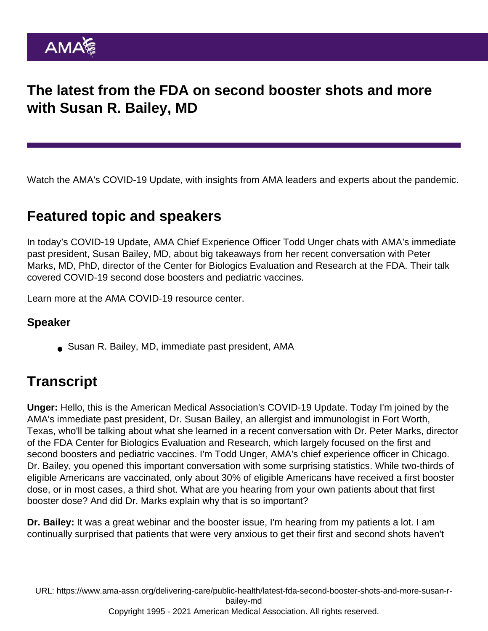## The latest from the FDA on second booster shots and more with Susan R. Bailey, MD

Watch the AMA's COVID-19 Update, with insights from AMA leaders and experts about the pandemic.

## Featured topic and speakers

In today's COVID-19 Update, AMA Chief Experience Officer Todd Unger chats with AMA's immediate past president, Susan Bailey, MD, about big takeaways from her [recent conversation](https://www.ama-assn.org/delivering-care/public-health/covid-19-fourth-dose-boosters-and-vaccine-update-peter-marks-md) with Peter Marks, MD, PhD, director of the Center for Biologics Evaluation and Research at the FDA. Their talk covered COVID-19 second dose boosters and pediatric vaccines.

Learn more at the [AMA COVID-19 resource center](https://www.ama-assn.org/delivering-care/public-health/covid-19-2019-novel-coronavirus-resource-center-physicians](https://www.ama-assn.org/delivering-care/public-health/covid-19-2019-novel-coronavirus-resource-center-physicians)).

## Speaker

Susan R. Bailey, MD, immediate past president, AMA

## **Transcript**

Unger: Hello, this is the American Medical Association's COVID-19 Update. Today I'm joined by the AMA's immediate past president, Dr. Susan Bailey, an allergist and immunologist in Fort Worth, Texas, who'll be talking about what she learned in a recent conversation with Dr. Peter Marks, director of the FDA Center for Biologics Evaluation and Research, which largely focused on the first and second boosters and pediatric vaccines. I'm Todd Unger, AMA's chief experience officer in Chicago. Dr. Bailey, you opened this important conversation with some surprising statistics. While two-thirds of eligible Americans are vaccinated, only about 30% of eligible Americans have received a first booster dose, or in most cases, a third shot. What are you hearing from your own patients about that first booster dose? And did Dr. Marks explain why that is so important?

Dr. Bailey: It was a great webinar and the booster issue, I'm hearing from my patients a lot. I am continually surprised that patients that were very anxious to get their first and second shots haven't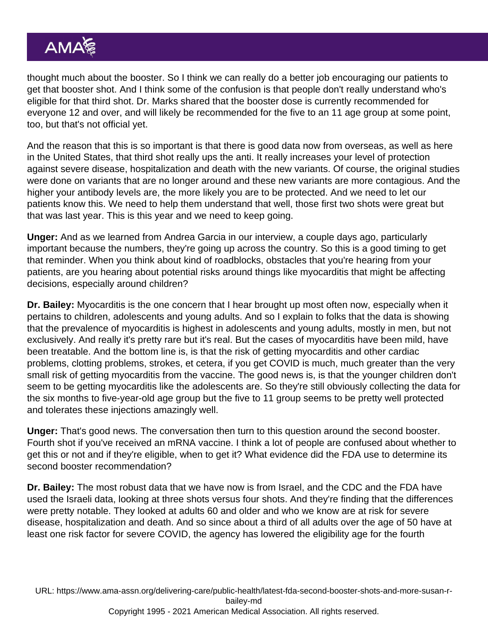thought much about the booster. So I think we can really do a better job encouraging our patients to get that booster shot. And I think some of the confusion is that people don't really understand who's eligible for that third shot. Dr. Marks shared that the booster dose is currently recommended for everyone 12 and over, and will likely be recommended for the five to an 11 age group at some point, too, but that's not official yet.

And the reason that this is so important is that there is good data now from overseas, as well as here in the United States, that third shot really ups the anti. It really increases your level of protection against severe disease, hospitalization and death with the new variants. Of course, the original studies were done on variants that are no longer around and these new variants are more contagious. And the higher your antibody levels are, the more likely you are to be protected. And we need to let our patients know this. We need to help them understand that well, those first two shots were great but that was last year. This is this year and we need to keep going.

Unger: And as we learned from Andrea Garcia in our interview, a couple days ago, particularly important because the numbers, they're going up across the country. So this is a good timing to get that reminder. When you think about kind of roadblocks, obstacles that you're hearing from your patients, are you hearing about potential risks around things like myocarditis that might be affecting decisions, especially around children?

Dr. Bailey: Myocarditis is the one concern that I hear brought up most often now, especially when it pertains to children, adolescents and young adults. And so I explain to folks that the data is showing that the prevalence of myocarditis is highest in adolescents and young adults, mostly in men, but not exclusively. And really it's pretty rare but it's real. But the cases of myocarditis have been mild, have been treatable. And the bottom line is, is that the risk of getting myocarditis and other cardiac problems, clotting problems, strokes, et cetera, if you get COVID is much, much greater than the very small risk of getting myocarditis from the vaccine. The good news is, is that the younger children don't seem to be getting myocarditis like the adolescents are. So they're still obviously collecting the data for the six months to five-year-old age group but the five to 11 group seems to be pretty well protected and tolerates these injections amazingly well.

Unger: That's good news. The conversation then turn to this question around the second booster. Fourth shot if you've received an mRNA vaccine. I think a lot of people are confused about whether to get this or not and if they're eligible, when to get it? What evidence did the FDA use to determine its second booster recommendation?

Dr. Bailey: The most robust data that we have now is from Israel, and the CDC and the FDA have used the Israeli data, looking at three shots versus four shots. And they're finding that the differences were pretty notable. They looked at adults 60 and older and who we know are at risk for severe disease, hospitalization and death. And so since about a third of all adults over the age of 50 have at least one risk factor for severe COVID, the agency has lowered the eligibility age for the fourth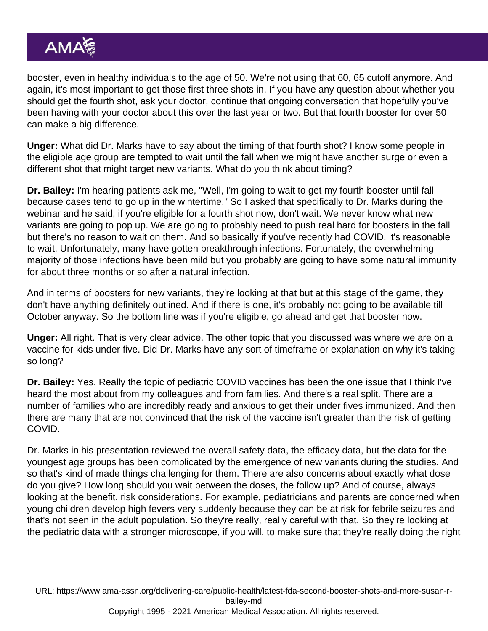booster, even in healthy individuals to the age of 50. We're not using that 60, 65 cutoff anymore. And again, it's most important to get those first three shots in. If you have any question about whether you should get the fourth shot, ask your doctor, continue that ongoing conversation that hopefully you've been having with your doctor about this over the last year or two. But that fourth booster for over 50 can make a big difference.

Unger: What did Dr. Marks have to say about the timing of that fourth shot? I know some people in the eligible age group are tempted to wait until the fall when we might have another surge or even a different shot that might target new variants. What do you think about timing?

Dr. Bailey: I'm hearing patients ask me, "Well, I'm going to wait to get my fourth booster until fall because cases tend to go up in the wintertime." So I asked that specifically to Dr. Marks during the webinar and he said, if you're eligible for a fourth shot now, don't wait. We never know what new variants are going to pop up. We are going to probably need to push real hard for boosters in the fall but there's no reason to wait on them. And so basically if you've recently had COVID, it's reasonable to wait. Unfortunately, many have gotten breakthrough infections. Fortunately, the overwhelming majority of those infections have been mild but you probably are going to have some natural immunity for about three months or so after a natural infection.

And in terms of boosters for new variants, they're looking at that but at this stage of the game, they don't have anything definitely outlined. And if there is one, it's probably not going to be available till October anyway. So the bottom line was if you're eligible, go ahead and get that booster now.

Unger: All right. That is very clear advice. The other topic that you discussed was where we are on a vaccine for kids under five. Did Dr. Marks have any sort of timeframe or explanation on why it's taking so long?

Dr. Bailey: Yes. Really the topic of pediatric COVID vaccines has been the one issue that I think I've heard the most about from my colleagues and from families. And there's a real split. There are a number of families who are incredibly ready and anxious to get their under fives immunized. And then there are many that are not convinced that the risk of the vaccine isn't greater than the risk of getting COVID.

Dr. Marks in his presentation reviewed the overall safety data, the efficacy data, but the data for the youngest age groups has been complicated by the emergence of new variants during the studies. And so that's kind of made things challenging for them. There are also concerns about exactly what dose do you give? How long should you wait between the doses, the follow up? And of course, always looking at the benefit, risk considerations. For example, pediatricians and parents are concerned when young children develop high fevers very suddenly because they can be at risk for febrile seizures and that's not seen in the adult population. So they're really, really careful with that. So they're looking at the pediatric data with a stronger microscope, if you will, to make sure that they're really doing the right